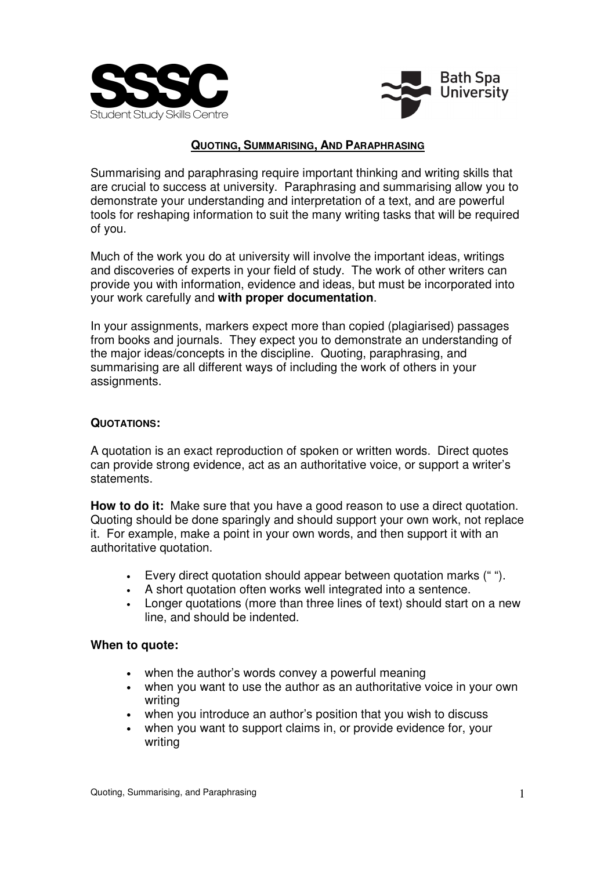



## **QUOTING, SUMMARISING, AND PARAPHRASING**

Summarising and paraphrasing require important thinking and writing skills that are crucial to success at university. Paraphrasing and summarising allow you to demonstrate your understanding and interpretation of a text, and are powerful tools for reshaping information to suit the many writing tasks that will be required of you.

Much of the work you do at university will involve the important ideas, writings and discoveries of experts in your field of study. The work of other writers can provide you with information, evidence and ideas, but must be incorporated into your work carefully and **with proper documentation**.

In your assignments, markers expect more than copied (plagiarised) passages from books and journals. They expect you to demonstrate an understanding of the major ideas/concepts in the discipline. Quoting, paraphrasing, and summarising are all different ways of including the work of others in your assignments.

### **QUOTATIONS:**

A quotation is an exact reproduction of spoken or written words. Direct quotes can provide strong evidence, act as an authoritative voice, or support a writer's statements.

**How to do it:** Make sure that you have a good reason to use a direct quotation. Quoting should be done sparingly and should support your own work, not replace it. For example, make a point in your own words, and then support it with an authoritative quotation.

- Every direct quotation should appear between quotation marks (" ").
- A short quotation often works well integrated into a sentence.
- Longer quotations (more than three lines of text) should start on a new line, and should be indented.

### **When to quote:**

- when the author's words convey a powerful meaning
- when you want to use the author as an authoritative voice in your own writing
- when you introduce an author's position that you wish to discuss
- when you want to support claims in, or provide evidence for, your writing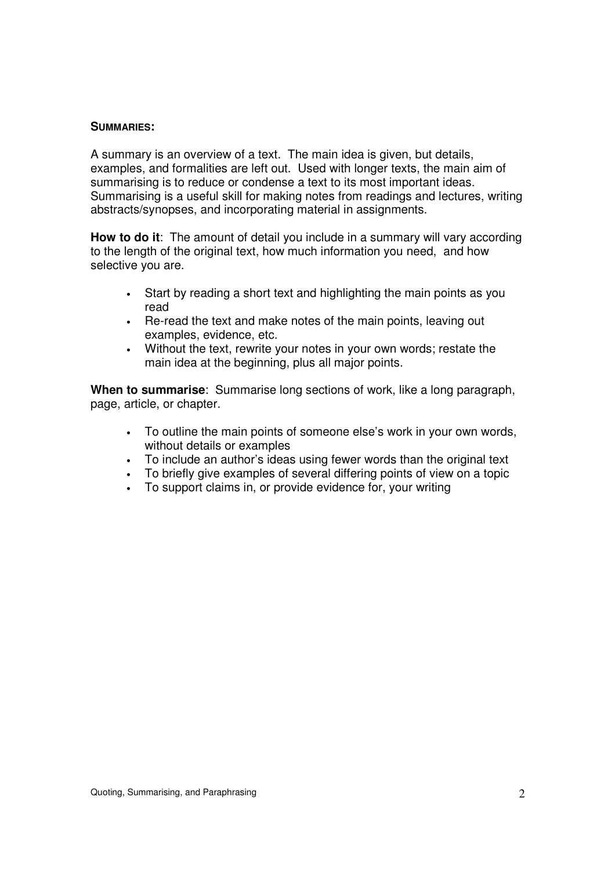#### **SUMMARIES:**

A summary is an overview of a text. The main idea is given, but details, examples, and formalities are left out. Used with longer texts, the main aim of summarising is to reduce or condense a text to its most important ideas. Summarising is a useful skill for making notes from readings and lectures, writing abstracts/synopses, and incorporating material in assignments.

**How to do it**: The amount of detail you include in a summary will vary according to the length of the original text, how much information you need, and how selective you are.

- Start by reading a short text and highlighting the main points as you read
- Re-read the text and make notes of the main points, leaving out examples, evidence, etc.
- Without the text, rewrite your notes in your own words; restate the main idea at the beginning, plus all major points.

**When to summarise**: Summarise long sections of work, like a long paragraph, page, article, or chapter.

- To outline the main points of someone else's work in your own words, without details or examples
- To include an author's ideas using fewer words than the original text
- To briefly give examples of several differing points of view on a topic
- To support claims in, or provide evidence for, your writing